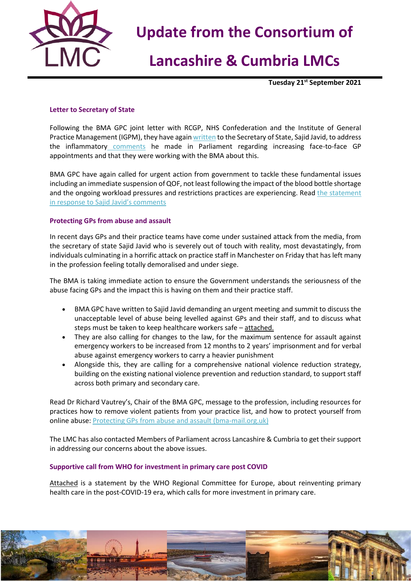

# **Lancashire & Cumbria LMCs**

**Tuesday 21st September 2021**

### **Letter to Secretary of State**

Following the BMA GPC joint letter with RCGP, NHS Confederation and the Institute of General Practice Management (IGPM), they have again [written](https://i.emlfiles4.com/cmpdoc/3/7/7/5/2/files/846573_gpc-letter-to-sajid-javid-sos-15sept21.pdf?utm_source=The%20British%20Medical%20Association&utm_medium=email&utm_campaign=12657321_GP%20ENEWSLETTER%20150921&dm_t=0,0,0,0,0) to the Secretary of State, Sajid Javid, to address the inflammatory [comments](https://hansard.parliament.uk/HoC%20Debate/2021-09-14/debates/DC215883-A118-4E79-B329-3012F3A5F5BD/web/#contribution-2081BD45-C162-4D87-B42F-F60A6CA3A952) he made in Parliament regarding increasing face-to-face GP appointments and that they were working with the BMA about this.

BMA GPC have again called for urgent action from government to tackle these fundamental issues including an immediate suspension of QOF, not least following the impact of the blood bottle shortage and the ongoing workload pressures and restrictions practices are experiencing. Read the statement [in response to Sajid Javid's comments](https://www.bma.org.uk/bma-media-centre/health-secretary-out-of-touch-with-gps-reality)

#### **Protecting GPs from abuse and assault**

In recent days GPs and their practice teams have come under sustained attack from the media, from the secretary of state Sajid Javid who is severely out of touch with reality, most devastatingly, from individuals culminating in a horrific attack on practice staff in Manchester on Friday that has left many in the profession feeling totally demoralised and under siege.

The BMA is taking immediate action to ensure the Government understands the seriousness of the abuse facing GPs and the impact this is having on them and their practice staff.

- BMA GPC have written to Sajid Javid demanding an urgent meeting and summit to discuss the unacceptable level of abuse being levelled against GPs and their staff, and to discuss what steps must be taken to keep healthcare workers safe - attached.
- They are also calling for changes to the law, for the maximum sentence for assault against emergency workers to be increased from 12 months to 2 years' imprisonment and for verbal abuse against emergency workers to carry a heavier punishment
- Alongside this, they are calling for a comprehensive national violence reduction strategy, building on the existing national violence prevention and reduction standard, to support staff across both primary and secondary care.

Read Dr Richard Vautrey's, Chair of the BMA GPC, message to the profession, including resources for practices how to remove violent patients from your practice list, and how to protect yourself from online abuse: [Protecting GPs from abuse and assault \(bma-mail.org.uk\)](https://bma-mail.org.uk/t/JVX-7JL7M-EC5E0CEA0D8A5317JCJOU4BA186991484320BE/cr.aspx)

The LMC has also contacted Members of Parliament across Lancashire & Cumbria to get their support in addressing our concerns about the above issues.

#### **Supportive call from WHO for investment in primary care post COVID**

Attached is a statement by the WHO Regional Committee for Europe, about reinventing primary health care in the post-COVID-19 era, which calls for more investment in primary care.

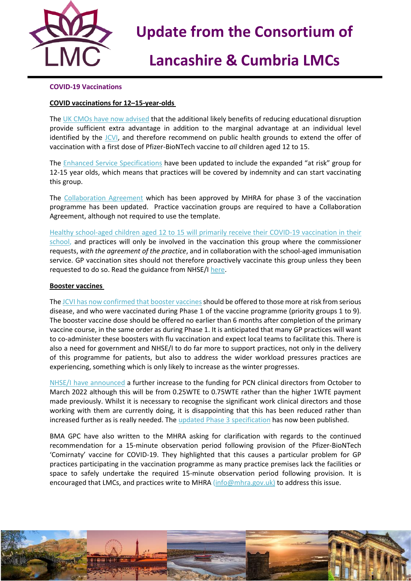

# **Lancashire & Cumbria LMCs**

### **COVID-19 Vaccinations**

### **COVID vaccinations for 12–15-year-olds**

The [UK CMOs have now advised](https://www.gov.uk/government/publications/universal-vaccination-of-children-and-young-people-aged-12-to-15-years-against-covid-19/universal-vaccination-of-children-and-young-people-aged-12-to-15-years-against-covid-19) that the additional likely benefits of reducing educational disruption provide sufficient extra advantage in addition to the marginal advantage at an individual level identified by the [JCVI,](https://www.gov.uk/government/publications/jcvi-statement-september-2021-covid-19-vaccination-of-children-aged-12-to-15-years/jcvi-statement-on-covid-19-vaccination-of-children-aged-12-to-15-years-3-september-2021) and therefore recommend on public health grounds to extend the offer of vaccination with a first dose of Pfizer-BioNTech vaccine to *all* children aged 12 to 15.

The [Enhanced Service Specifications](https://www.england.nhs.uk/coronavirus/publication/ess-vaccination-programme/) have been updated to include the expanded "at risk" group for 12-15 year olds, which means that practices will be covered by indemnity and can start vaccinating this group.

The [Collaboration Agreement](https://www.england.nhs.uk/publication/covid-19-vaccination-programme-2020-21-covid-19-enhanced-service-vaccination-collaboration-agreement/) which has been approved by MHRA for phase 3 of the vaccination programme has been updated. Practice vaccination groups are required to have a Collaboration Agreement, although not required to use the template.

[Healthy school-aged children aged 12 to 15 will primarily receive their COVID-19 vaccination in their](https://www.gov.uk/government/news/young-people-aged-12-to-15-to-be-offered-a-covid-19-vaccine)  [school,](https://www.gov.uk/government/news/young-people-aged-12-to-15-to-be-offered-a-covid-19-vaccine) and practices will only be involved in the vaccination this group where the commissioner requests, *with the agreement of the practice*, and in collaboration with the school-aged immunisation service. GP vaccination sites should not therefore proactively vaccinate this group unless they been requested to do so. Read the guidance from NHSE/I [here.](https://www.england.nhs.uk/coronavirus/publication/vaccination-of-healthy-children-and-young-people-aged-12-to-15/)

#### **Booster vaccines**

The JCVI has now confirmed that booster vaccines should be offered to those more at risk from serious disease, and who were vaccinated during Phase 1 of the vaccine programme (priority groups 1 to 9). The booster vaccine dose should be offered no earlier than 6 months after completion of the primary vaccine course, in the same order as during Phase 1. It is anticipated that many GP practices will want to co-administer these boosters with flu vaccination and expect local teams to facilitate this. There is also a need for government and NHSE/I to do far more to support practices, not only in the delivery of this programme for patients, but also to address the wider workload pressures practices are experiencing, something which is only likely to increase as the winter progresses.

[NHSE/I have announced](https://www.england.nhs.uk/coronavirus/publication/immediate-action-required-for-phase-3-booster-vaccinations/) a further increase to the funding for PCN clinical directors from October to March 2022 although this will be from 0.25WTE to 0.75WTE rather than the higher 1WTE payment made previously. Whilst it is necessary to recognise the significant work clinical directors and those working with them are currently doing, it is disappointing that this has been reduced rather than increased further as is really needed. Th[e updated Phase 3 specification](https://www.england.nhs.uk/coronavirus/publication/enhanced-service-specification-phase-3-coronavirus-vaccination/) has now been published.

BMA GPC have also written to the MHRA asking for clarification with regards to the continued recommendation for a 15-minute observation period following provision of the Pfizer-BioNTech 'Comirnaty' vaccine for COVID-19. They highlighted that this causes a particular problem for GP practices participating in the vaccination programme as many practice premises lack the facilities or space to safely undertake the required 15-minute observation period following provision. It is encouraged that LMCs, and practices write to MHRA [\(info@mhra.gov.uk\)](mailto:info@mhra.gov.uk) to address this issue.

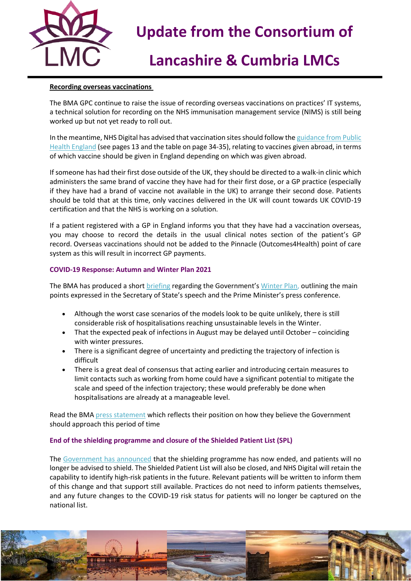

# **Lancashire & Cumbria LMCs**

### **Recording overseas vaccinations**

The BMA GPC continue to raise the issue of recording overseas vaccinations on practices' IT systems, a technical solution for recording on the NHS immunisation management service (NIMS) is still being worked up but not yet ready to roll out.

In the meantime, NHS Digital has advised that vaccination sites should follow the guidance from Public [Health England](https://www.gov.uk/government/publications/covid-19-vaccination-programme-guidance-for-healthcare-practitioners) (see pages 13 and the table on page 34-35), relating to vaccines given abroad, in terms of which vaccine should be given in England depending on which was given abroad.

If someone has had their first dose outside of the UK, they should be directed to a walk-in clinic which administers the same brand of vaccine they have had for their first dose, or a GP practice (especially if they have had a brand of vaccine not available in the UK) to arrange their second dose. Patients should be told that at this time, only vaccines delivered in the UK will count towards UK COVID-19 certification and that the NHS is working on a solution.

If a patient registered with a GP in England informs you that they have had a vaccination overseas, you may choose to record the details in the usual clinical notes section of the patient's GP record. Overseas vaccinations should not be added to the Pinnacle (Outcomes4Health) point of care system as this will result in incorrect GP payments.

### **COVID-19 Response: Autumn and Winter Plan 2021**

The BMA has produced a short [briefing](https://i.emlfiles4.com/cmpdoc/3/7/7/5/2/files/846565_background-briefing---covid-winter-plan.pdf?utm_source=The%20British%20Medical%20Association&utm_medium=email&utm_campaign=12657321_GP%20ENEWSLETTER%20150921&dm_t=0,0,0,0,0) regarding the Government's [Winter Plan,](COVID-19%20Response:%20Autumn%20and%20Winter%20Plan%202021%20-%20GOV.UK%20(www.gov.uk)) outlining the main points expressed in the Secretary of State's speech and the Prime Minister's press conference.

- Although the worst case scenarios of the models look to be quite unlikely, there is still considerable risk of hospitalisations reaching unsustainable levels in the Winter.
- That the expected peak of infections in August may be delayed until October coinciding with winter pressures.
- There is a significant degree of uncertainty and predicting the trajectory of infection is difficult
- There is a great deal of consensus that acting earlier and introducing certain measures to limit contacts such as working from home could have a significant potential to mitigate the scale and speed of the infection trajectory; these would preferably be done when hospitalisations are already at a manageable level.

Read the BM[A press statement](https://www.bma.org.uk/bma-media-centre/government-must-act-now-to-stem-spread-of-infection-not-when-it-s-too-late-says-bma) which reflects their position on how they believe the Government should approach this period of time

### **End of the shielding programme and closure of the Shielded Patient List (SPL)**

The [Government has announced](https://questions-statements.parliament.uk/written-statements/detail/2021-09-15/hcws291) that the shielding programme has now ended, and patients will no longer be advised to shield. The Shielded Patient List will also be closed, and NHS Digital will retain the capability to identify high-risk patients in the future. Relevant patients will be written to inform them of this change and that support still available. Practices do not need to inform patients themselves, and any future changes to the COVID-19 risk status for patients will no longer be captured on the national list.

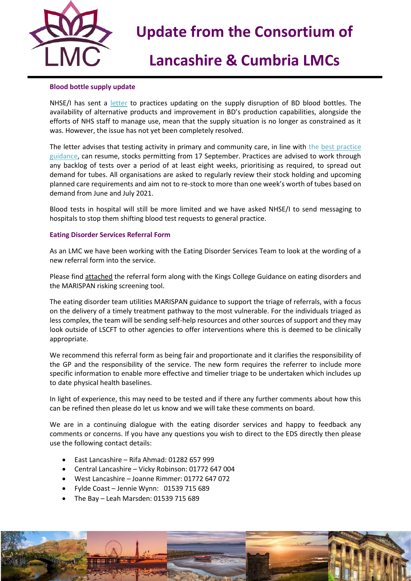

## **Lancashire & Cumbria LMCs**

### **Blood bottle supply update**

NHSE/I has sent a [letter](https://www.england.nhs.uk/publication/becton-dickinson-blood-specimen-collection-portfolio-supply-disruption/) to practices updating on the supply disruption of BD blood bottles. The availability of alternative products and improvement in BD's production capabilities, alongside the efforts of NHS staff to manage use, mean that the supply situation is no longer as constrained as it was. However, the issue has not yet been completely resolved.

The letter advises that testing activity in primary and community care, in line with the [best practice](https://www.england.nhs.uk/publication/optimising-blood-testing-in-primary-and-secondary-care/)  [guidance,](https://www.england.nhs.uk/publication/optimising-blood-testing-in-primary-and-secondary-care/) can resume, stocks permitting from 17 September. Practices are advised to work through any backlog of tests over a period of at least eight weeks, prioritising as required, to spread out demand for tubes. All organisations are asked to regularly review their stock holding and upcoming planned care requirements and aim not to re-stock to more than one week's worth of tubes based on demand from June and July 2021.

Blood tests in hospital will still be more limited and we have asked NHSE/I to send messaging to hospitals to stop them shifting blood test requests to general practice.

#### **Eating Disorder Services Referral Form**

As an LMC we have been working with the Eating Disorder Services Team to look at the wording of a new referral form into the service.

Please find attached the referral form along with the Kings College Guidance on eating disorders and the MARISPAN risking screening tool.

The eating disorder team utilities MARISPAN guidance to support the triage of referrals, with a focus on the delivery of a timely treatment pathway to the most vulnerable. For the individuals triaged as less complex, the team will be sending self-help resources and other sources of support and they may look outside of LSCFT to other agencies to offer interventions where this is deemed to be clinically appropriate.

We recommend this referral form as being fair and proportionate and it clarifies the responsibility of the GP and the responsibility of the service. The new form requires the referrer to include more specific information to enable more effective and timelier triage to be undertaken which includes up to date physical health baselines.

In light of experience, this may need to be tested and if there any further comments about how this can be refined then please do let us know and we will take these comments on board.

We are in a continuing dialogue with the eating disorder services and happy to feedback any comments or concerns. If you have any questions you wish to direct to the EDS directly then please use the following contact details:

- East Lancashire Rifa Ahmad: 01282 657 999
- Central Lancashire Vicky Robinson: 01772 647 004
- West Lancashire Joanne Rimmer: 01772 647 072
- Fylde Coast Jennie Wynn: 01539 715 689
- The Bay Leah Marsden: 01539 715 689